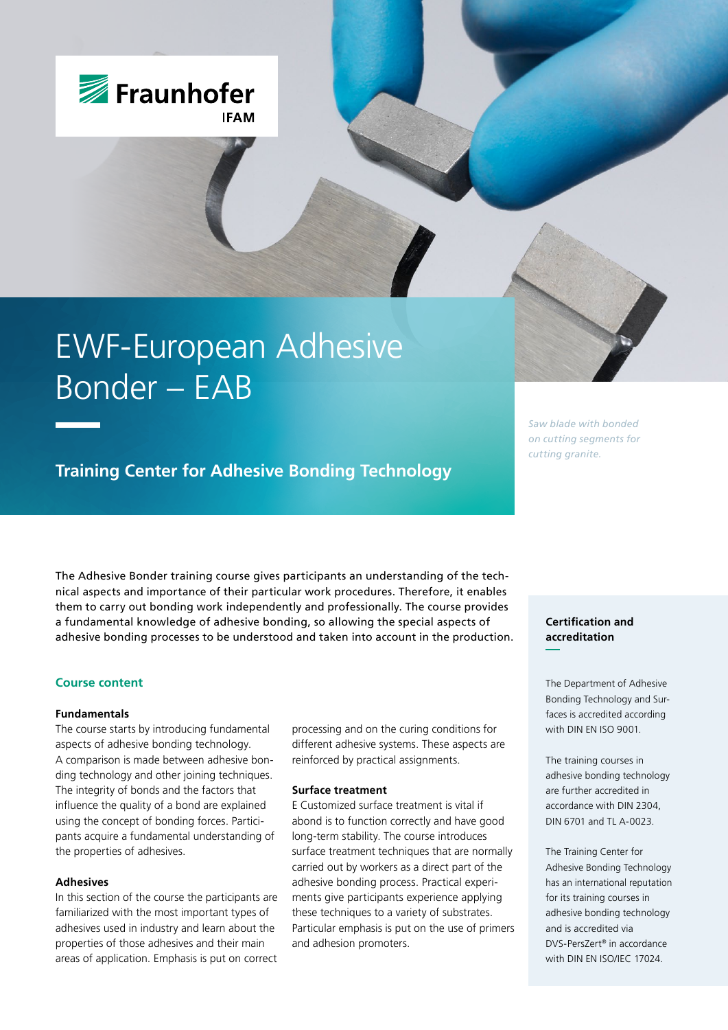

# EWF-European Adhesive Bonder – EAB

# **Training Center for Adhesive Bonding Technology**

The Adhesive Bonder training course gives participants an understanding of the technical aspects and importance of their particular work procedures. Therefore, it enables them to carry out bonding work independently and professionally. The course provides a fundamental knowledge of adhesive bonding, so allowing the special aspects of adhesive bonding processes to be understood and taken into account in the production.

## **Course content**

#### **Fundamentals**

The course starts by introducing fundamental aspects of adhesive bonding technology. A comparison is made between adhesive bonding technology and other joining techniques. The integrity of bonds and the factors that influence the quality of a bond are explained using the concept of bonding forces. Participants acquire a fundamental understanding of the properties of adhesives.

#### **Adhesives**

In this section of the course the participants are familiarized with the most important types of adhesives used in industry and learn about the properties of those adhesives and their main areas of application. Emphasis is put on correct processing and on the curing conditions for different adhesive systems. These aspects are reinforced by practical assignments.

#### **Surface treatment**

E Customized surface treatment is vital if abond is to function correctly and have good long-term stability. The course introduces surface treatment techniques that are normally carried out by workers as a direct part of the adhesive bonding process. Practical experiments give participants experience applying these techniques to a variety of substrates. Particular emphasis is put on the use of primers and adhesion promoters.

*Saw blade with bonded on cutting segments for cutting granite.*

# **Certification and accreditation**

The Department of Adhesive Bonding Technology and Surfaces is accredited according with DIN EN ISO 9001.

The training courses in adhesive bonding technology are further accredited in accordance with DIN 2304, DIN 6701 and TL A-0023.

The Training Center for Adhesive Bonding Technology has an international reputation for its training courses in adhesive bonding technology and is accredited via DVS-PersZert® in accordance with DIN EN ISO/IEC 17024.